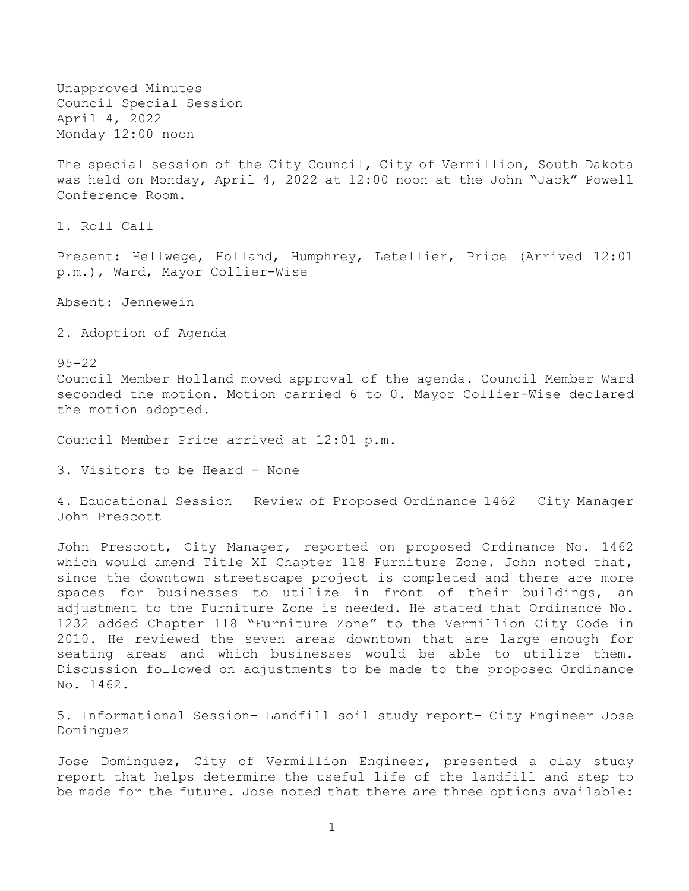Unapproved Minutes Council Special Session April 4, 2022 Monday 12:00 noon

The special session of the City Council, City of Vermillion, South Dakota was held on Monday, April 4, 2022 at 12:00 noon at the John "Jack" Powell Conference Room.

1. Roll Call

Present: Hellwege, Holland, Humphrey, Letellier, Price (Arrived 12:01 p.m.), Ward, Mayor Collier-Wise

Absent: Jennewein

2. Adoption of Agenda

95-22 Council Member Holland moved approval of the agenda. Council Member Ward seconded the motion. Motion carried 6 to 0. Mayor Collier-Wise declared the motion adopted.

Council Member Price arrived at 12:01 p.m.

3. Visitors to be Heard - None

4. Educational Session – Review of Proposed Ordinance 1462 – City Manager John Prescott

John Prescott, City Manager, reported on proposed Ordinance No. 1462 which would amend Title XI Chapter 118 Furniture Zone. John noted that, since the downtown streetscape project is completed and there are more spaces for businesses to utilize in front of their buildings, an adjustment to the Furniture Zone is needed. He stated that Ordinance No. 1232 added Chapter 118 "Furniture Zone" to the Vermillion City Code in 2010. He reviewed the seven areas downtown that are large enough for seating areas and which businesses would be able to utilize them. Discussion followed on adjustments to be made to the proposed Ordinance No. 1462.

5. Informational Session- Landfill soil study report- City Engineer Jose Dominguez

Jose Dominguez, City of Vermillion Engineer, presented a clay study report that helps determine the useful life of the landfill and step to be made for the future. Jose noted that there are three options available: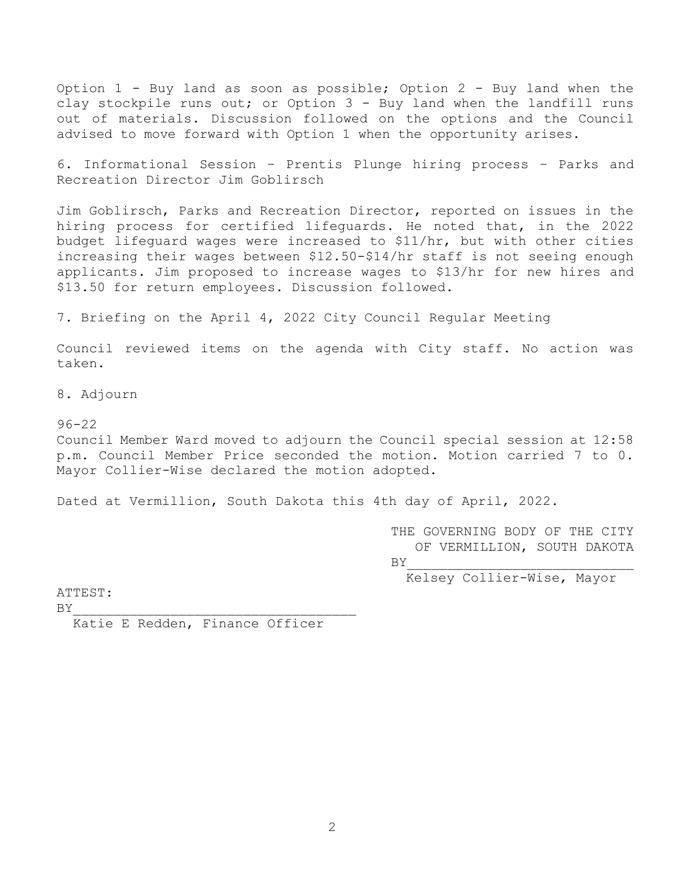Option 1 - Buy land as soon as possible; Option 2 - Buy land when the clay stockpile runs out; or Option 3 - Buy land when the landfill runs out of materials. Discussion followed on the options and the Council advised to move forward with Option 1 when the opportunity arises.

6. Informational Session – Prentis Plunge hiring process – Parks and Recreation Director Jim Goblirsch

Jim Goblirsch, Parks and Recreation Director, reported on issues in the hiring process for certified lifeguards. He noted that, in the 2022 budget lifeguard wages were increased to \$11/hr, but with other cities increasing their wages between \$12.50-\$14/hr staff is not seeing enough applicants. Jim proposed to increase wages to \$13/hr for new hires and \$13.50 for return employees. Discussion followed.

7. Briefing on the April 4, 2022 City Council Regular Meeting

Council reviewed items on the agenda with City staff. No action was taken.

8. Adjourn

96-22

Council Member Ward moved to adjourn the Council special session at 12:58 p.m. Council Member Price seconded the motion. Motion carried 7 to 0. Mayor Collier-Wise declared the motion adopted.

Dated at Vermillion, South Dakota this 4th day of April, 2022.

THE GOVERNING BODY OF THE CITY OF VERMILLION, SOUTH DAKOTA  $BY$ 

Kelsey Collier-Wise, Mayor

ATTEST:

 $BY$ 

Katie E Redden, Finance Officer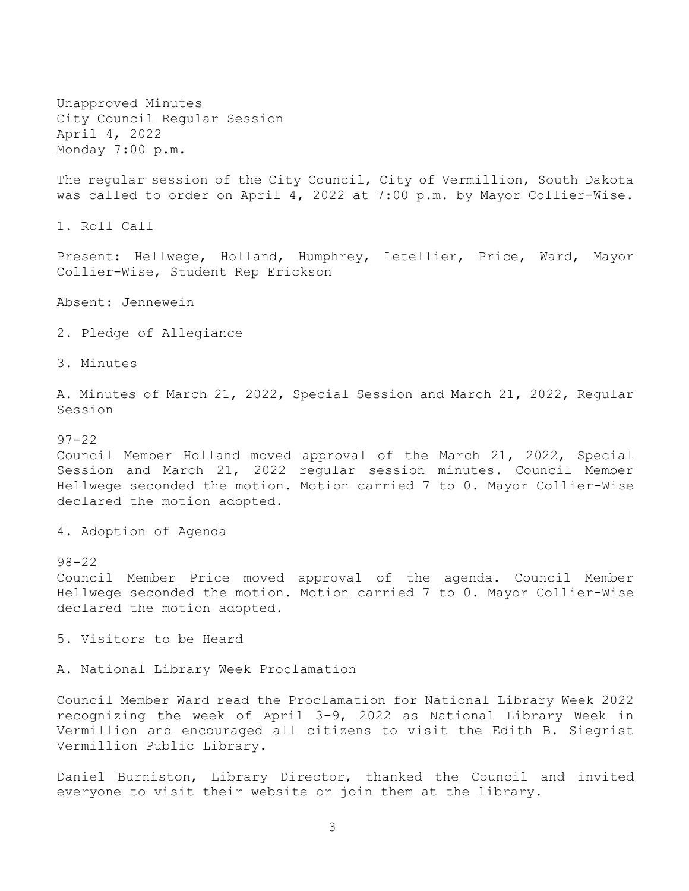Unapproved Minutes City Council Regular Session April 4, 2022 Monday 7:00 p.m.

The regular session of the City Council, City of Vermillion, South Dakota was called to order on April 4, 2022 at 7:00 p.m. by Mayor Collier-Wise.

1. Roll Call

Present: Hellwege, Holland, Humphrey, Letellier, Price, Ward, Mayor Collier-Wise, Student Rep Erickson

Absent: Jennewein

2. Pledge of Allegiance

3. Minutes

A. Minutes of March 21, 2022, Special Session and March 21, 2022, Regular Session

97-22

Council Member Holland moved approval of the March 21, 2022, Special Session and March 21, 2022 regular session minutes. Council Member Hellwege seconded the motion. Motion carried 7 to 0. Mayor Collier-Wise declared the motion adopted.

4. Adoption of Agenda

98-22

Council Member Price moved approval of the agenda. Council Member Hellwege seconded the motion. Motion carried 7 to 0. Mayor Collier-Wise declared the motion adopted.

5. Visitors to be Heard

A. National Library Week Proclamation

Council Member Ward read the Proclamation for National Library Week 2022 recognizing the week of April 3-9, 2022 as National Library Week in Vermillion and encouraged all citizens to visit the Edith B. Siegrist Vermillion Public Library.

Daniel Burniston, Library Director, thanked the Council and invited everyone to visit their website or join them at the library.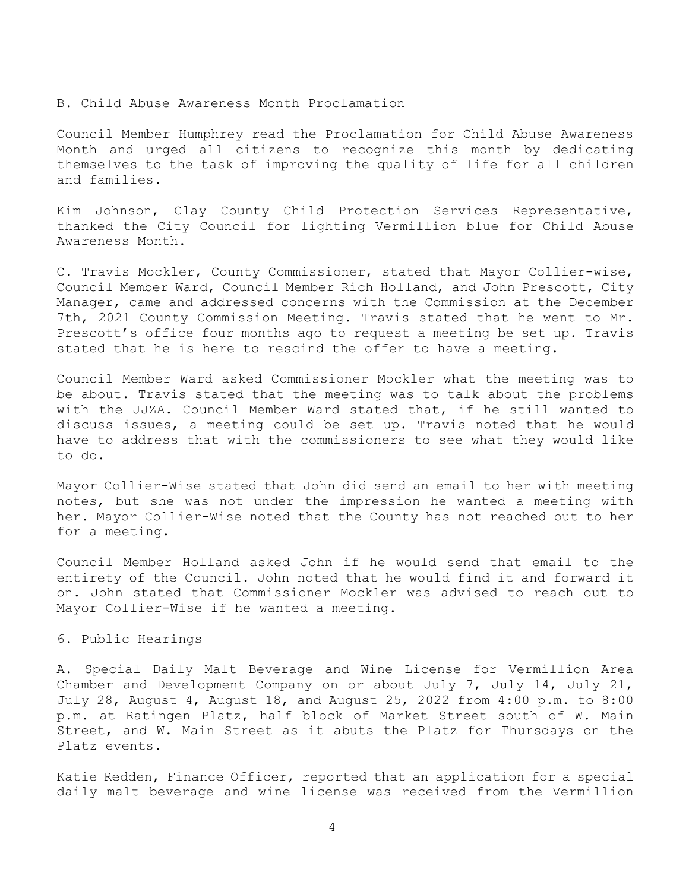#### B. Child Abuse Awareness Month Proclamation

Council Member Humphrey read the Proclamation for Child Abuse Awareness Month and urged all citizens to recognize this month by dedicating themselves to the task of improving the quality of life for all children and families.

Kim Johnson, Clay County Child Protection Services Representative, thanked the City Council for lighting Vermillion blue for Child Abuse Awareness Month.

C. Travis Mockler, County Commissioner, stated that Mayor Collier-wise, Council Member Ward, Council Member Rich Holland, and John Prescott, City Manager, came and addressed concerns with the Commission at the December 7th, 2021 County Commission Meeting. Travis stated that he went to Mr. Prescott's office four months ago to request a meeting be set up. Travis stated that he is here to rescind the offer to have a meeting.

Council Member Ward asked Commissioner Mockler what the meeting was to be about. Travis stated that the meeting was to talk about the problems with the JJZA. Council Member Ward stated that, if he still wanted to discuss issues, a meeting could be set up. Travis noted that he would have to address that with the commissioners to see what they would like to do.

Mayor Collier-Wise stated that John did send an email to her with meeting notes, but she was not under the impression he wanted a meeting with her. Mayor Collier-Wise noted that the County has not reached out to her for a meeting.

Council Member Holland asked John if he would send that email to the entirety of the Council. John noted that he would find it and forward it on. John stated that Commissioner Mockler was advised to reach out to Mayor Collier-Wise if he wanted a meeting.

### 6. Public Hearings

A. Special Daily Malt Beverage and Wine License for Vermillion Area Chamber and Development Company on or about July 7, July 14, July 21, July 28, August 4, August 18, and August 25, 2022 from 4:00 p.m. to 8:00 p.m. at Ratingen Platz, half block of Market Street south of W. Main Street, and W. Main Street as it abuts the Platz for Thursdays on the Platz events.

Katie Redden, Finance Officer, reported that an application for a special daily malt beverage and wine license was received from the Vermillion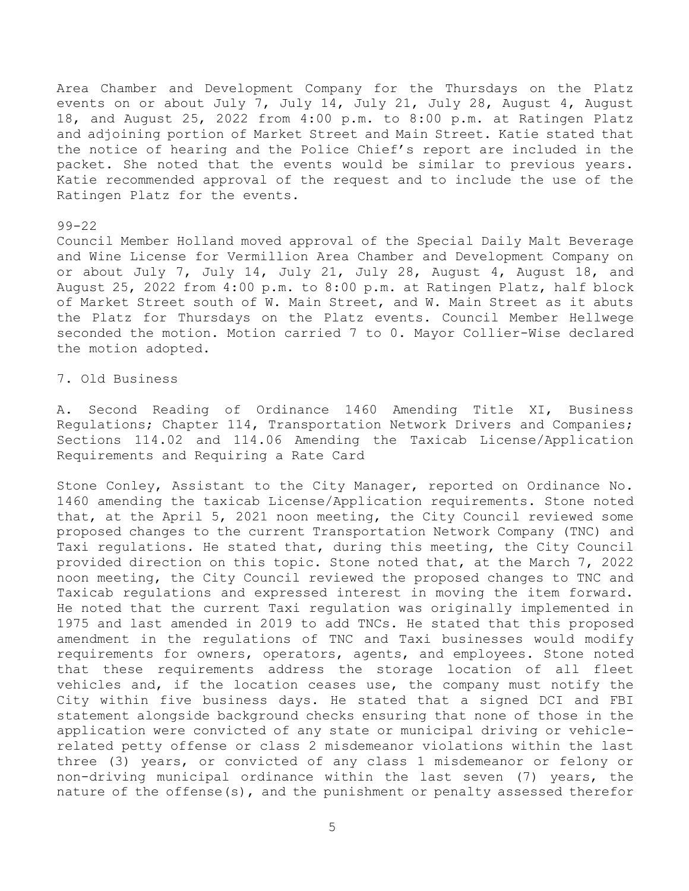Area Chamber and Development Company for the Thursdays on the Platz events on or about July 7, July 14, July 21, July 28, August 4, August 18, and August 25, 2022 from 4:00 p.m. to 8:00 p.m. at Ratingen Platz and adjoining portion of Market Street and Main Street. Katie stated that the notice of hearing and the Police Chief's report are included in the packet. She noted that the events would be similar to previous years. Katie recommended approval of the request and to include the use of the Ratingen Platz for the events.

### 99-22

Council Member Holland moved approval of the Special Daily Malt Beverage and Wine License for Vermillion Area Chamber and Development Company on or about July 7, July 14, July 21, July 28, August 4, August 18, and August 25, 2022 from 4:00 p.m. to 8:00 p.m. at Ratingen Platz, half block of Market Street south of W. Main Street, and W. Main Street as it abuts the Platz for Thursdays on the Platz events. Council Member Hellwege seconded the motion. Motion carried 7 to 0. Mayor Collier-Wise declared the motion adopted.

# 7. Old Business

A. Second Reading of Ordinance 1460 Amending Title XI, Business Regulations; Chapter 114, Transportation Network Drivers and Companies; Sections 114.02 and 114.06 Amending the Taxicab License/Application Requirements and Requiring a Rate Card

Stone Conley, Assistant to the City Manager, reported on Ordinance No. 1460 amending the taxicab License/Application requirements. Stone noted that, at the April 5, 2021 noon meeting, the City Council reviewed some proposed changes to the current Transportation Network Company (TNC) and Taxi regulations. He stated that, during this meeting, the City Council provided direction on this topic. Stone noted that, at the March 7, 2022 noon meeting, the City Council reviewed the proposed changes to TNC and Taxicab regulations and expressed interest in moving the item forward. He noted that the current Taxi regulation was originally implemented in 1975 and last amended in 2019 to add TNCs. He stated that this proposed amendment in the regulations of TNC and Taxi businesses would modify requirements for owners, operators, agents, and employees. Stone noted that these requirements address the storage location of all fleet vehicles and, if the location ceases use, the company must notify the City within five business days. He stated that a signed DCI and FBI statement alongside background checks ensuring that none of those in the application were convicted of any state or municipal driving or vehiclerelated petty offense or class 2 misdemeanor violations within the last three (3) years, or convicted of any class 1 misdemeanor or felony or non-driving municipal ordinance within the last seven (7) years, the nature of the offense(s), and the punishment or penalty assessed therefor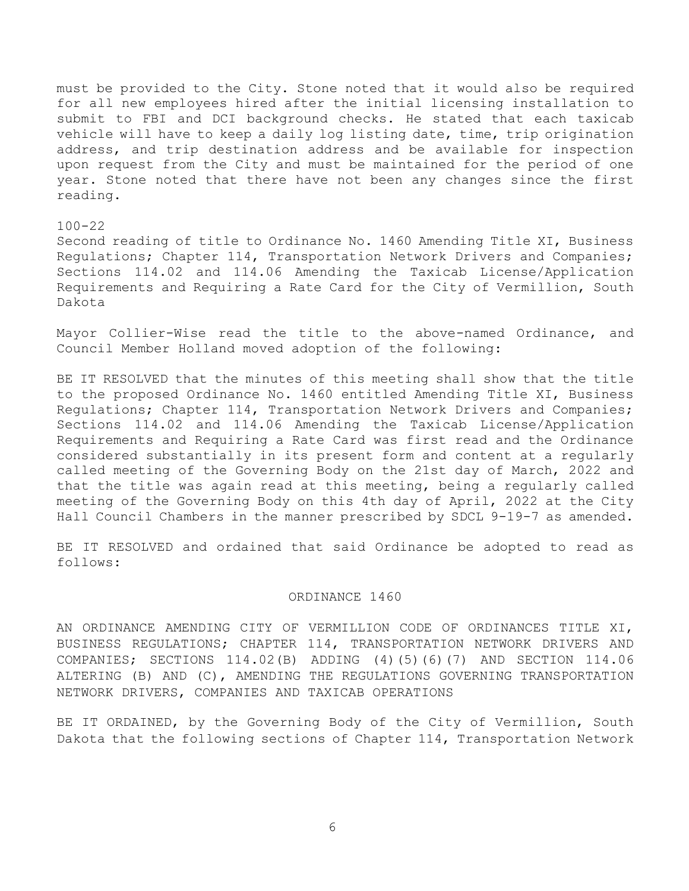must be provided to the City. Stone noted that it would also be required for all new employees hired after the initial licensing installation to submit to FBI and DCI background checks. He stated that each taxicab vehicle will have to keep a daily log listing date, time, trip origination address, and trip destination address and be available for inspection upon request from the City and must be maintained for the period of one year. Stone noted that there have not been any changes since the first reading.

### 100-22

Second reading of title to Ordinance No. 1460 Amending Title XI, Business Regulations; Chapter 114, Transportation Network Drivers and Companies; Sections 114.02 and 114.06 Amending the Taxicab License/Application Requirements and Requiring a Rate Card for the City of Vermillion, South Dakota

Mayor Collier-Wise read the title to the above-named Ordinance, and Council Member Holland moved adoption of the following:

BE IT RESOLVED that the minutes of this meeting shall show that the title to the proposed Ordinance No. 1460 entitled Amending Title XI, Business Regulations; Chapter 114, Transportation Network Drivers and Companies; Sections 114.02 and 114.06 Amending the Taxicab License/Application Requirements and Requiring a Rate Card was first read and the Ordinance considered substantially in its present form and content at a regularly called meeting of the Governing Body on the 21st day of March, 2022 and that the title was again read at this meeting, being a regularly called meeting of the Governing Body on this 4th day of April, 2022 at the City Hall Council Chambers in the manner prescribed by SDCL 9-19-7 as amended.

BE IT RESOLVED and ordained that said Ordinance be adopted to read as follows:

### ORDINANCE 1460

AN ORDINANCE AMENDING CITY OF VERMILLION CODE OF ORDINANCES TITLE XI, BUSINESS REGULATIONS; CHAPTER 114, TRANSPORTATION NETWORK DRIVERS AND COMPANIES; SECTIONS 114.02(B) ADDING (4)(5)(6)(7) AND SECTION 114.06 ALTERING (B) AND (C), AMENDING THE REGULATIONS GOVERNING TRANSPORTATION NETWORK DRIVERS, COMPANIES AND TAXICAB OPERATIONS

BE IT ORDAINED, by the Governing Body of the City of Vermillion, South Dakota that the following sections of Chapter 114, Transportation Network

6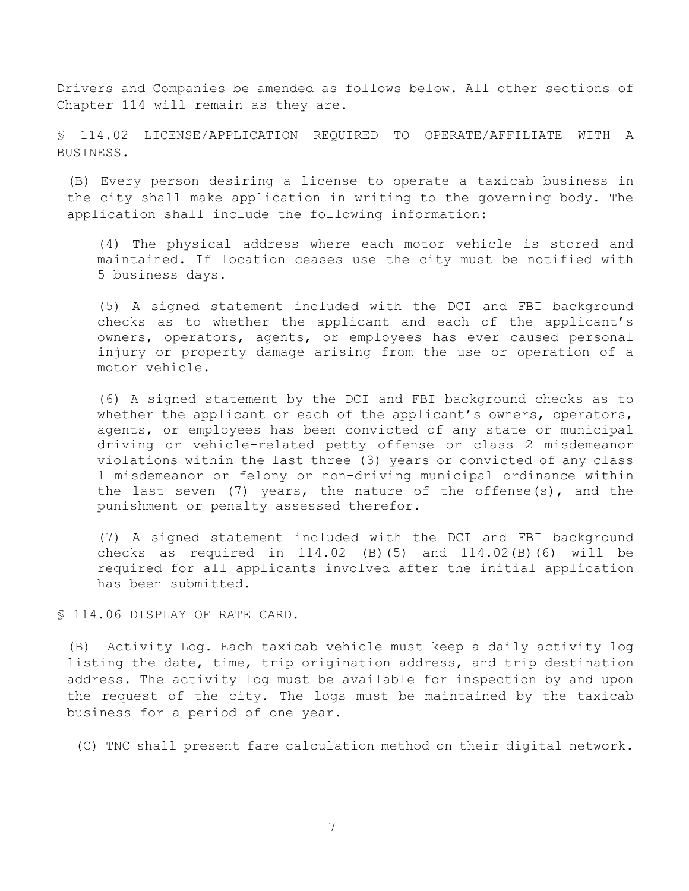Drivers and Companies be amended as follows below. All other sections of Chapter 114 will remain as they are.

§ 114.02 LICENSE/APPLICATION REQUIRED TO OPERATE/AFFILIATE WITH A BUSINESS.

(B) Every person desiring a license to operate a taxicab business in the city shall make application in writing to the governing body. The application shall include the following information:

(4) The physical address where each motor vehicle is stored and maintained. If location ceases use the city must be notified with 5 business days.

(5) A signed statement included with the DCI and FBI background checks as to whether the applicant and each of the applicant's owners, operators, agents, or employees has ever caused personal injury or property damage arising from the use or operation of a motor vehicle.

(6) A signed statement by the DCI and FBI background checks as to whether the applicant or each of the applicant's owners, operators, agents, or employees has been convicted of any state or municipal driving or vehicle-related petty offense or class 2 misdemeanor violations within the last three (3) years or convicted of any class 1 misdemeanor or felony or non-driving municipal ordinance within the last seven (7) years, the nature of the offense(s), and the punishment or penalty assessed therefor.

(7) A signed statement included with the DCI and FBI background checks as required in 114.02 (B)(5) and 114.02(B)(6) will be required for all applicants involved after the initial application has been submitted.

§ 114.06 DISPLAY OF RATE CARD.

(B) Activity Log. Each taxicab vehicle must keep a daily activity log listing the date, time, trip origination address, and trip destination address. The activity log must be available for inspection by and upon the request of the city. The logs must be maintained by the taxicab business for a period of one year.

(C) TNC shall present fare calculation method on their digital network.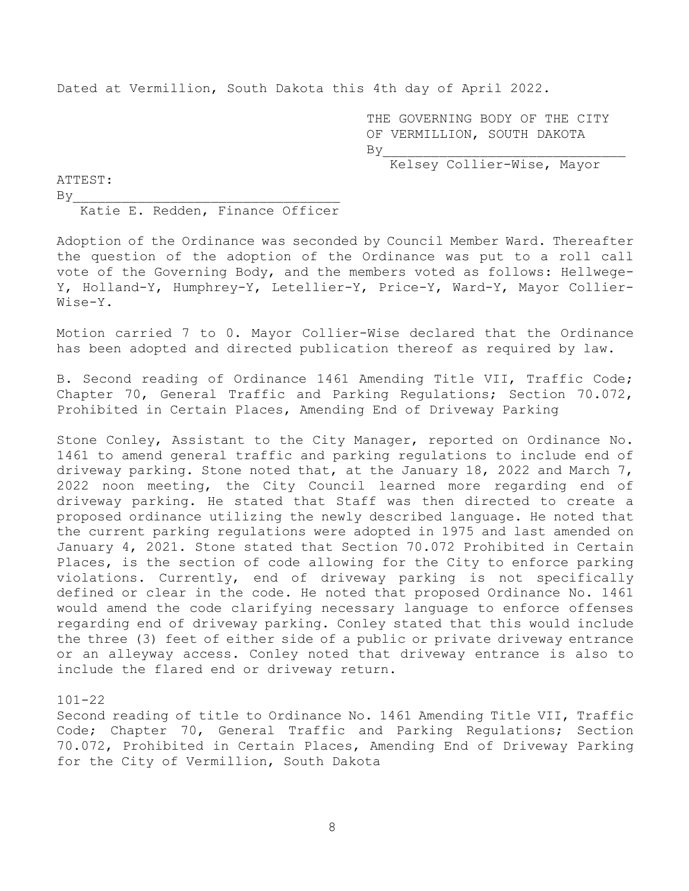Dated at Vermillion, South Dakota this 4th day of April 2022.

 THE GOVERNING BODY OF THE CITY OF VERMILLION, SOUTH DAKOTA  $By$ 

Kelsey Collier-Wise, Mayor

ATTEST:  $By$ 

Katie E. Redden, Finance Officer

Adoption of the Ordinance was seconded by Council Member Ward. Thereafter the question of the adoption of the Ordinance was put to a roll call vote of the Governing Body, and the members voted as follows: Hellwege-Y, Holland-Y, Humphrey-Y, Letellier-Y, Price-Y, Ward-Y, Mayor Collier-Wise-Y.

Motion carried 7 to 0. Mayor Collier-Wise declared that the Ordinance has been adopted and directed publication thereof as required by law.

B. Second reading of Ordinance 1461 Amending Title VII, Traffic Code; Chapter 70, General Traffic and Parking Regulations; Section 70.072, Prohibited in Certain Places, Amending End of Driveway Parking

Stone Conley, Assistant to the City Manager, reported on Ordinance No. 1461 to amend general traffic and parking regulations to include end of driveway parking. Stone noted that, at the January 18, 2022 and March 7, 2022 noon meeting, the City Council learned more regarding end of driveway parking. He stated that Staff was then directed to create a proposed ordinance utilizing the newly described language. He noted that the current parking regulations were adopted in 1975 and last amended on January 4, 2021. Stone stated that Section 70.072 Prohibited in Certain Places, is the section of code allowing for the City to enforce parking violations. Currently, end of driveway parking is not specifically defined or clear in the code. He noted that proposed Ordinance No. 1461 would amend the code clarifying necessary language to enforce offenses regarding end of driveway parking. Conley stated that this would include the three (3) feet of either side of a public or private driveway entrance or an alleyway access. Conley noted that driveway entrance is also to include the flared end or driveway return.

101-22

Second reading of title to Ordinance No. 1461 Amending Title VII, Traffic Code; Chapter 70, General Traffic and Parking Regulations; Section 70.072, Prohibited in Certain Places, Amending End of Driveway Parking for the City of Vermillion, South Dakota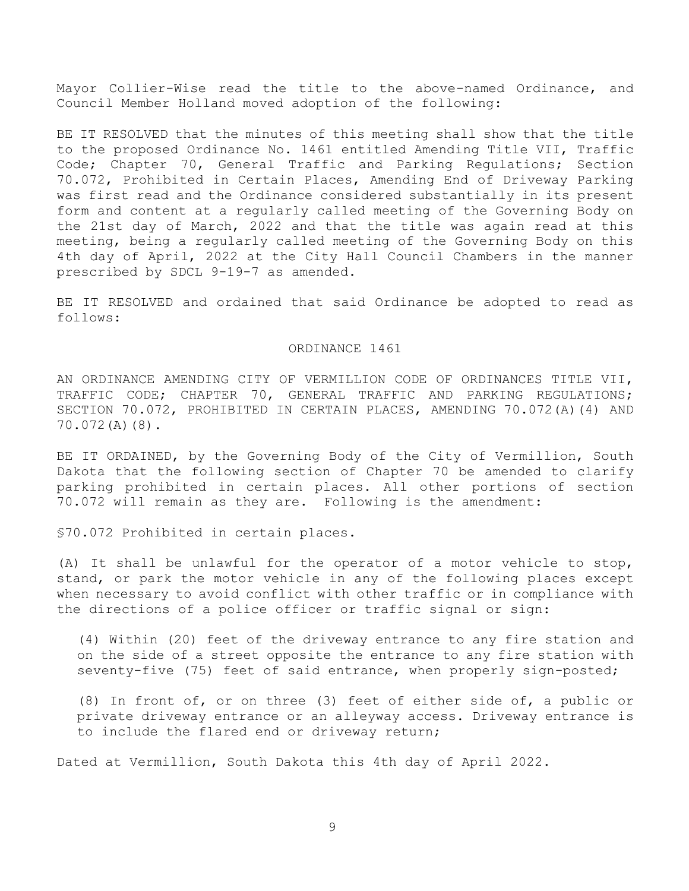Mayor Collier-Wise read the title to the above-named Ordinance, and Council Member Holland moved adoption of the following:

BE IT RESOLVED that the minutes of this meeting shall show that the title to the proposed Ordinance No. 1461 entitled Amending Title VII, Traffic Code; Chapter 70, General Traffic and Parking Regulations; Section 70.072, Prohibited in Certain Places, Amending End of Driveway Parking was first read and the Ordinance considered substantially in its present form and content at a regularly called meeting of the Governing Body on the 21st day of March, 2022 and that the title was again read at this meeting, being a regularly called meeting of the Governing Body on this 4th day of April, 2022 at the City Hall Council Chambers in the manner prescribed by SDCL 9-19-7 as amended.

BE IT RESOLVED and ordained that said Ordinance be adopted to read as follows:

### ORDINANCE 1461

AN ORDINANCE AMENDING CITY OF VERMILLION CODE OF ORDINANCES TITLE VII, TRAFFIC CODE; CHAPTER 70, GENERAL TRAFFIC AND PARKING REGULATIONS; SECTION 70.072, PROHIBITED IN CERTAIN PLACES, AMENDING 70.072(A)(4) AND 70.072(A)(8).

BE IT ORDAINED, by the Governing Body of the City of Vermillion, South Dakota that the following section of Chapter 70 be amended to clarify parking prohibited in certain places. All other portions of section 70.072 will remain as they are. Following is the amendment:

§70.072 Prohibited in certain places.

(A) It shall be unlawful for the operator of a motor vehicle to stop, stand, or park the motor vehicle in any of the following places except when necessary to avoid conflict with other traffic or in compliance with the directions of a police officer or traffic signal or sign:

(4) Within (20) feet of the driveway entrance to any fire station and on the side of a street opposite the entrance to any fire station with seventy-five (75) feet of said entrance, when properly sign-posted;

(8) In front of, or on three (3) feet of either side of, a public or private driveway entrance or an alleyway access. Driveway entrance is to include the flared end or driveway return;

Dated at Vermillion, South Dakota this 4th day of April 2022.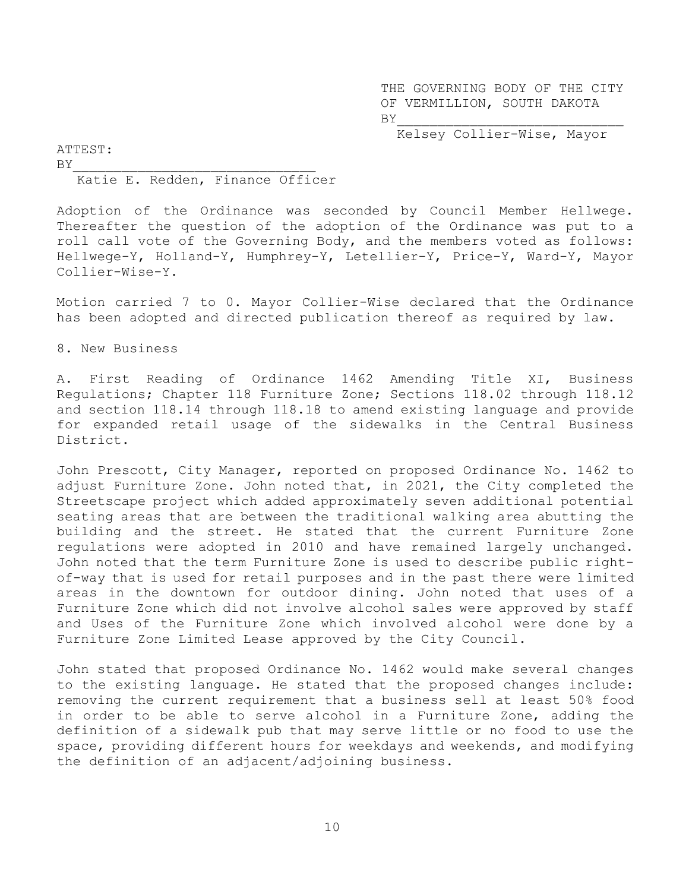THE GOVERNING BODY OF THE CITY OF VERMILLION, SOUTH DAKOTA  $BY$ 

Kelsey Collier-Wise, Mayor

ATTEST:  $BY$ 

## Katie E. Redden, Finance Officer

Adoption of the Ordinance was seconded by Council Member Hellwege. Thereafter the question of the adoption of the Ordinance was put to a roll call vote of the Governing Body, and the members voted as follows: Hellwege-Y, Holland-Y, Humphrey-Y, Letellier-Y, Price-Y, Ward-Y, Mayor Collier-Wise-Y.

Motion carried 7 to 0. Mayor Collier-Wise declared that the Ordinance has been adopted and directed publication thereof as required by law.

8. New Business

A. First Reading of Ordinance 1462 Amending Title XI, Business Regulations; Chapter 118 Furniture Zone; Sections 118.02 through 118.12 and section 118.14 through 118.18 to amend existing language and provide for expanded retail usage of the sidewalks in the Central Business District.

John Prescott, City Manager, reported on proposed Ordinance No. 1462 to adjust Furniture Zone. John noted that, in 2021, the City completed the Streetscape project which added approximately seven additional potential seating areas that are between the traditional walking area abutting the building and the street. He stated that the current Furniture Zone regulations were adopted in 2010 and have remained largely unchanged. John noted that the term Furniture Zone is used to describe public rightof-way that is used for retail purposes and in the past there were limited areas in the downtown for outdoor dining. John noted that uses of a Furniture Zone which did not involve alcohol sales were approved by staff and Uses of the Furniture Zone which involved alcohol were done by a Furniture Zone Limited Lease approved by the City Council.

John stated that proposed Ordinance No. 1462 would make several changes to the existing language. He stated that the proposed changes include: removing the current requirement that a business sell at least 50% food in order to be able to serve alcohol in a Furniture Zone, adding the definition of a sidewalk pub that may serve little or no food to use the space, providing different hours for weekdays and weekends, and modifying the definition of an adjacent/adjoining business.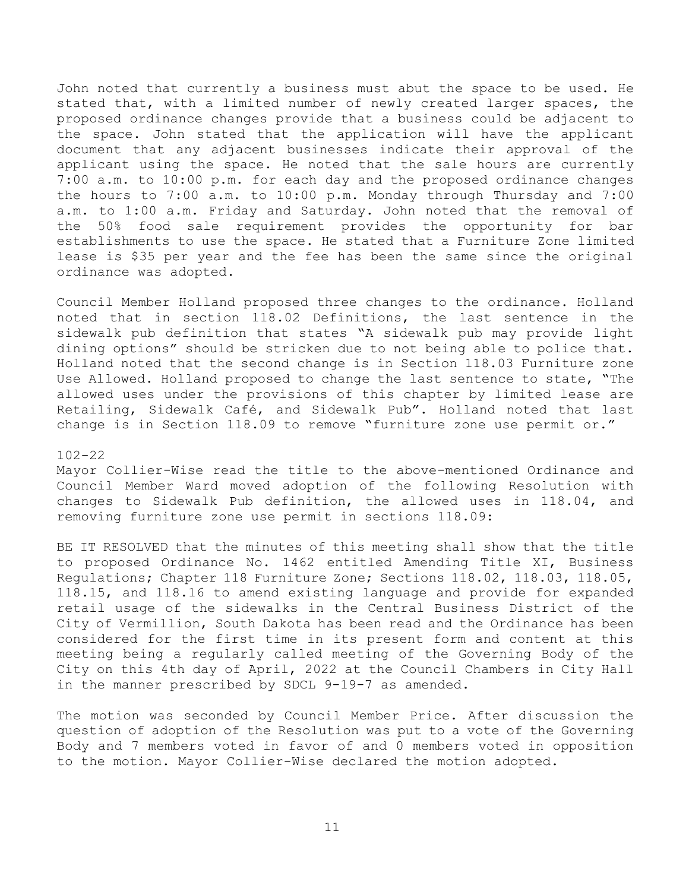John noted that currently a business must abut the space to be used. He stated that, with a limited number of newly created larger spaces, the proposed ordinance changes provide that a business could be adjacent to the space. John stated that the application will have the applicant document that any adjacent businesses indicate their approval of the applicant using the space. He noted that the sale hours are currently 7:00 a.m. to 10:00 p.m. for each day and the proposed ordinance changes the hours to 7:00 a.m. to 10:00 p.m. Monday through Thursday and 7:00 a.m. to 1:00 a.m. Friday and Saturday. John noted that the removal of the 50% food sale requirement provides the opportunity for bar establishments to use the space. He stated that a Furniture Zone limited lease is \$35 per year and the fee has been the same since the original ordinance was adopted.

Council Member Holland proposed three changes to the ordinance. Holland noted that in section 118.02 Definitions, the last sentence in the sidewalk pub definition that states "A sidewalk pub may provide light dining options" should be stricken due to not being able to police that. Holland noted that the second change is in Section 118.03 Furniture zone Use Allowed. Holland proposed to change the last sentence to state, "The allowed uses under the provisions of this chapter by limited lease are Retailing, Sidewalk Café, and Sidewalk Pub". Holland noted that last change is in Section 118.09 to remove "furniture zone use permit or."

#### 102-22

Mayor Collier-Wise read the title to the above-mentioned Ordinance and Council Member Ward moved adoption of the following Resolution with changes to Sidewalk Pub definition, the allowed uses in 118.04, and removing furniture zone use permit in sections 118.09:

BE IT RESOLVED that the minutes of this meeting shall show that the title to proposed Ordinance No. 1462 entitled Amending Title XI, Business Regulations; Chapter 118 Furniture Zone; Sections 118.02, 118.03, 118.05, 118.15, and 118.16 to amend existing language and provide for expanded retail usage of the sidewalks in the Central Business District of the City of Vermillion, South Dakota has been read and the Ordinance has been considered for the first time in its present form and content at this meeting being a regularly called meeting of the Governing Body of the City on this 4th day of April, 2022 at the Council Chambers in City Hall in the manner prescribed by SDCL 9-19-7 as amended.

The motion was seconded by Council Member Price. After discussion the question of adoption of the Resolution was put to a vote of the Governing Body and 7 members voted in favor of and 0 members voted in opposition to the motion. Mayor Collier-Wise declared the motion adopted.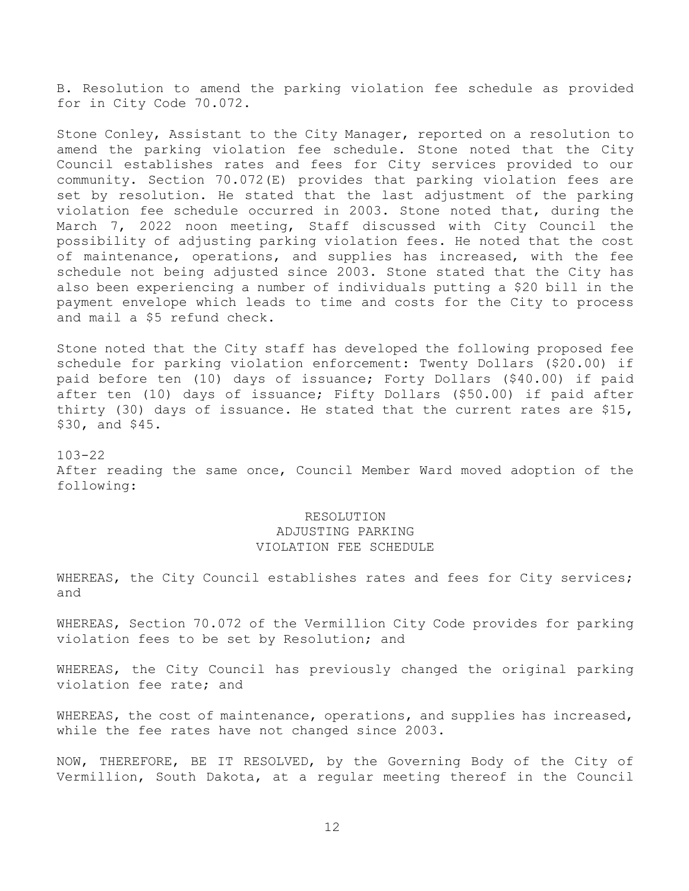B. Resolution to amend the parking violation fee schedule as provided for in City Code 70.072.

Stone Conley, Assistant to the City Manager, reported on a resolution to amend the parking violation fee schedule. Stone noted that the City Council establishes rates and fees for City services provided to our community. Section 70.072(E) provides that parking violation fees are set by resolution. He stated that the last adjustment of the parking violation fee schedule occurred in 2003. Stone noted that, during the March 7, 2022 noon meeting, Staff discussed with City Council the possibility of adjusting parking violation fees. He noted that the cost of maintenance, operations, and supplies has increased, with the fee schedule not being adjusted since 2003. Stone stated that the City has also been experiencing a number of individuals putting a \$20 bill in the payment envelope which leads to time and costs for the City to process and mail a \$5 refund check.

Stone noted that the City staff has developed the following proposed fee schedule for parking violation enforcement: Twenty Dollars (\$20.00) if paid before ten (10) days of issuance; Forty Dollars (\$40.00) if paid after ten (10) days of issuance; Fifty Dollars (\$50.00) if paid after thirty (30) days of issuance. He stated that the current rates are \$15, \$30, and \$45.

103-22 After reading the same once, Council Member Ward moved adoption of the following:

# RESOLUTION ADJUSTING PARKING VIOLATION FEE SCHEDULE

WHEREAS, the City Council establishes rates and fees for City services; and

WHEREAS, Section 70.072 of the Vermillion City Code provides for parking violation fees to be set by Resolution; and

WHEREAS, the City Council has previously changed the original parking violation fee rate; and

WHEREAS, the cost of maintenance, operations, and supplies has increased, while the fee rates have not changed since 2003.

NOW, THEREFORE, BE IT RESOLVED, by the Governing Body of the City of Vermillion, South Dakota, at a regular meeting thereof in the Council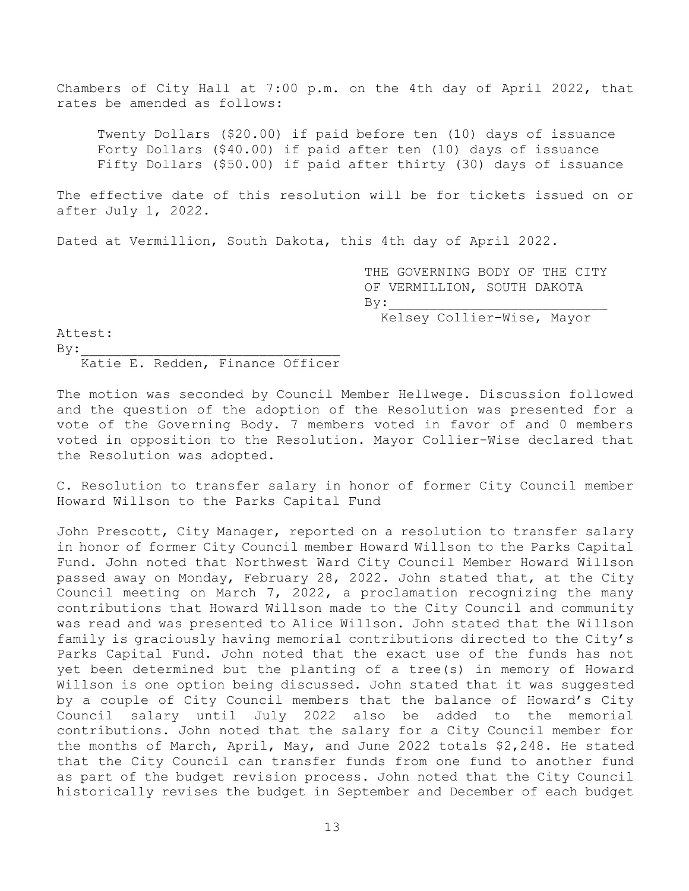Chambers of City Hall at 7:00 p.m. on the 4th day of April 2022, that rates be amended as follows:

Twenty Dollars (\$20.00) if paid before ten (10) days of issuance Forty Dollars (\$40.00) if paid after ten (10) days of issuance Fifty Dollars (\$50.00) if paid after thirty (30) days of issuance

The effective date of this resolution will be for tickets issued on or after July 1, 2022.

Dated at Vermillion, South Dakota, this 4th day of April 2022.

 THE GOVERNING BODY OF THE CITY OF VERMILLION, SOUTH DAKOTA  $\mathbf{By:}$ Kelsey Collier-Wise, Mayor

Attest:

 $By:$ Katie E. Redden, Finance Officer

The motion was seconded by Council Member Hellwege. Discussion followed and the question of the adoption of the Resolution was presented for a vote of the Governing Body. 7 members voted in favor of and 0 members voted in opposition to the Resolution. Mayor Collier-Wise declared that the Resolution was adopted.

C. Resolution to transfer salary in honor of former City Council member Howard Willson to the Parks Capital Fund

John Prescott, City Manager, reported on a resolution to transfer salary in honor of former City Council member Howard Willson to the Parks Capital Fund. John noted that Northwest Ward City Council Member Howard Willson passed away on Monday, February 28, 2022. John stated that, at the City Council meeting on March 7, 2022, a proclamation recognizing the many contributions that Howard Willson made to the City Council and community was read and was presented to Alice Willson. John stated that the Willson family is graciously having memorial contributions directed to the City's Parks Capital Fund. John noted that the exact use of the funds has not yet been determined but the planting of a tree(s) in memory of Howard Willson is one option being discussed. John stated that it was suggested by a couple of City Council members that the balance of Howard's City Council salary until July 2022 also be added to the memorial contributions. John noted that the salary for a City Council member for the months of March, April, May, and June 2022 totals \$2,248. He stated that the City Council can transfer funds from one fund to another fund as part of the budget revision process. John noted that the City Council historically revises the budget in September and December of each budget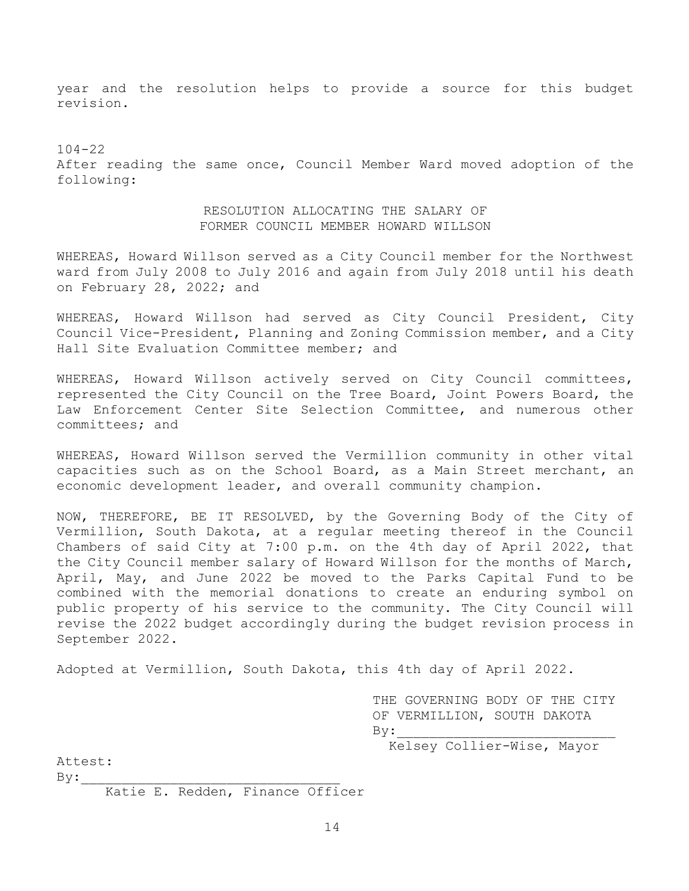year and the resolution helps to provide a source for this budget revision.

 $104 - 22$ After reading the same once, Council Member Ward moved adoption of the following:

# RESOLUTION ALLOCATING THE SALARY OF FORMER COUNCIL MEMBER HOWARD WILLSON

WHEREAS, Howard Willson served as a City Council member for the Northwest ward from July 2008 to July 2016 and again from July 2018 until his death on February 28, 2022; and

WHEREAS, Howard Willson had served as City Council President, City Council Vice-President, Planning and Zoning Commission member, and a City Hall Site Evaluation Committee member; and

WHEREAS, Howard Willson actively served on City Council committees, represented the City Council on the Tree Board, Joint Powers Board, the Law Enforcement Center Site Selection Committee, and numerous other committees; and

WHEREAS, Howard Willson served the Vermillion community in other vital capacities such as on the School Board, as a Main Street merchant, an economic development leader, and overall community champion.

NOW, THEREFORE, BE IT RESOLVED, by the Governing Body of the City of Vermillion, South Dakota, at a regular meeting thereof in the Council Chambers of said City at 7:00 p.m. on the 4th day of April 2022, that the City Council member salary of Howard Willson for the months of March, April, May, and June 2022 be moved to the Parks Capital Fund to be combined with the memorial donations to create an enduring symbol on public property of his service to the community. The City Council will revise the 2022 budget accordingly during the budget revision process in September 2022.

Adopted at Vermillion, South Dakota, this 4th day of April 2022.

 THE GOVERNING BODY OF THE CITY OF VERMILLION, SOUTH DAKOTA  $By:$ 

Kelsey Collier-Wise, Mayor

Attest:

 $By:$ 

Katie E. Redden, Finance Officer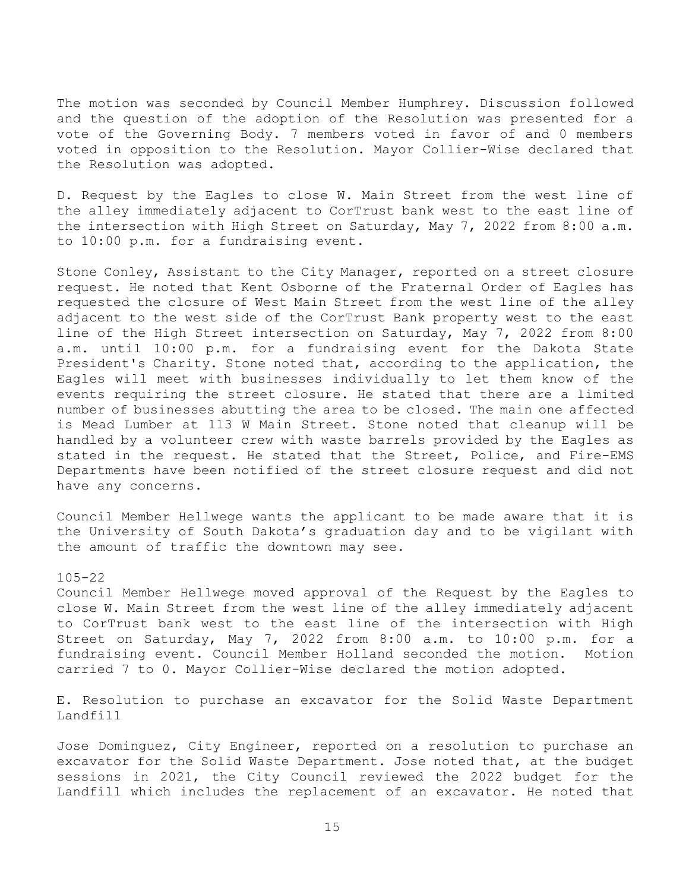The motion was seconded by Council Member Humphrey. Discussion followed and the question of the adoption of the Resolution was presented for a vote of the Governing Body. 7 members voted in favor of and 0 members voted in opposition to the Resolution. Mayor Collier-Wise declared that the Resolution was adopted.

D. Request by the Eagles to close W. Main Street from the west line of the alley immediately adjacent to CorTrust bank west to the east line of the intersection with High Street on Saturday, May 7, 2022 from 8:00 a.m. to 10:00 p.m. for a fundraising event.

Stone Conley, Assistant to the City Manager, reported on a street closure request. He noted that Kent Osborne of the Fraternal Order of Eagles has requested the closure of West Main Street from the west line of the alley adjacent to the west side of the CorTrust Bank property west to the east line of the High Street intersection on Saturday, May 7, 2022 from 8:00 a.m. until 10:00 p.m. for a fundraising event for the Dakota State President's Charity. Stone noted that, according to the application, the Eagles will meet with businesses individually to let them know of the events requiring the street closure. He stated that there are a limited number of businesses abutting the area to be closed. The main one affected is Mead Lumber at 113 W Main Street. Stone noted that cleanup will be handled by a volunteer crew with waste barrels provided by the Eagles as stated in the request. He stated that the Street, Police, and Fire-EMS Departments have been notified of the street closure request and did not have any concerns.

Council Member Hellwege wants the applicant to be made aware that it is the University of South Dakota's graduation day and to be vigilant with the amount of traffic the downtown may see.

## 105-22

Council Member Hellwege moved approval of the Request by the Eagles to close W. Main Street from the west line of the alley immediately adjacent to CorTrust bank west to the east line of the intersection with High Street on Saturday, May 7, 2022 from 8:00 a.m. to 10:00 p.m. for a fundraising event. Council Member Holland seconded the motion. Motion carried 7 to 0. Mayor Collier-Wise declared the motion adopted.

E. Resolution to purchase an excavator for the Solid Waste Department Landfill

Jose Dominguez, City Engineer, reported on a resolution to purchase an excavator for the Solid Waste Department. Jose noted that, at the budget sessions in 2021, the City Council reviewed the 2022 budget for the Landfill which includes the replacement of an excavator. He noted that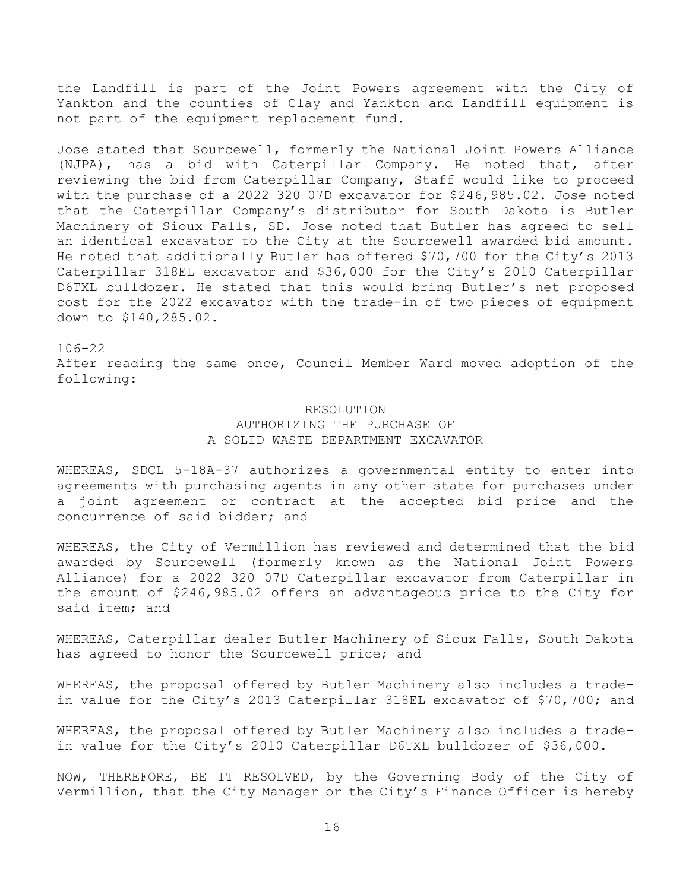the Landfill is part of the Joint Powers agreement with the City of Yankton and the counties of Clay and Yankton and Landfill equipment is not part of the equipment replacement fund.

Jose stated that Sourcewell, formerly the National Joint Powers Alliance (NJPA), has a bid with Caterpillar Company. He noted that, after reviewing the bid from Caterpillar Company, Staff would like to proceed with the purchase of a 2022 320 07D excavator for \$246,985.02. Jose noted that the Caterpillar Company's distributor for South Dakota is Butler Machinery of Sioux Falls, SD. Jose noted that Butler has agreed to sell an identical excavator to the City at the Sourcewell awarded bid amount. He noted that additionally Butler has offered \$70,700 for the City's 2013 Caterpillar 318EL excavator and \$36,000 for the City's 2010 Caterpillar D6TXL bulldozer. He stated that this would bring Butler's net proposed cost for the 2022 excavator with the trade-in of two pieces of equipment down to \$140,285.02.

### 106-22

After reading the same once, Council Member Ward moved adoption of the following:

# RESOLUTION AUTHORIZING THE PURCHASE OF A SOLID WASTE DEPARTMENT EXCAVATOR

WHEREAS, SDCL 5-18A-37 authorizes a governmental entity to enter into agreements with purchasing agents in any other state for purchases under a joint agreement or contract at the accepted bid price and the concurrence of said bidder; and

WHEREAS, the City of Vermillion has reviewed and determined that the bid awarded by Sourcewell (formerly known as the National Joint Powers Alliance) for a 2022 320 07D Caterpillar excavator from Caterpillar in the amount of \$246,985.02 offers an advantageous price to the City for said item; and

WHEREAS, Caterpillar dealer Butler Machinery of Sioux Falls, South Dakota has agreed to honor the Sourcewell price; and

WHEREAS, the proposal offered by Butler Machinery also includes a tradein value for the City's 2013 Caterpillar 318EL excavator of \$70,700; and

WHEREAS, the proposal offered by Butler Machinery also includes a tradein value for the City's 2010 Caterpillar D6TXL bulldozer of \$36,000.

NOW, THEREFORE, BE IT RESOLVED, by the Governing Body of the City of Vermillion, that the City Manager or the City's Finance Officer is hereby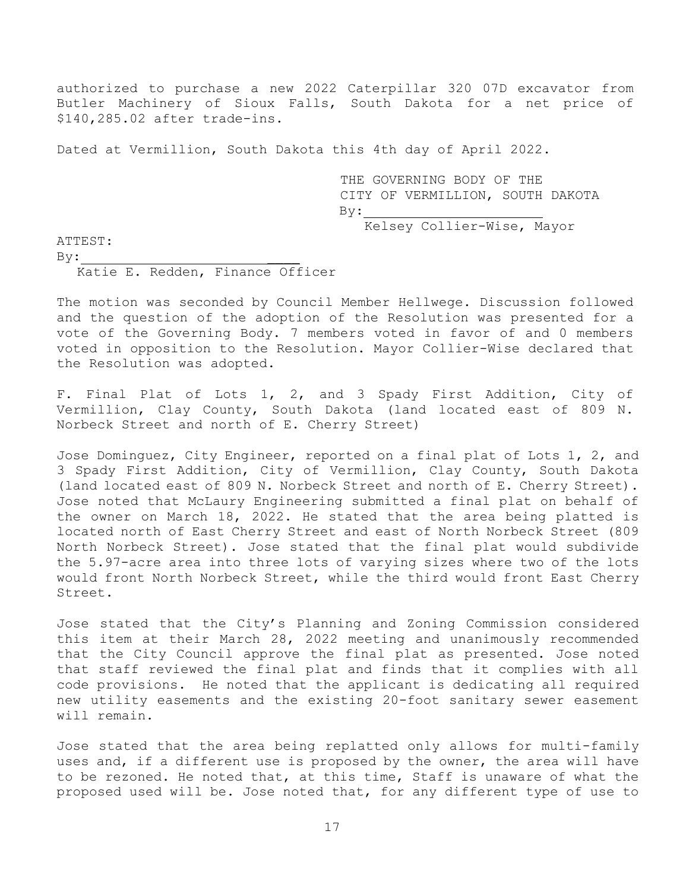authorized to purchase a new 2022 Caterpillar 320 07D excavator from Butler Machinery of Sioux Falls, South Dakota for a net price of \$140,285.02 after trade-ins.

Dated at Vermillion, South Dakota this 4th day of April 2022.

THE GOVERNING BODY OF THE CITY OF VERMILLION, SOUTH DAKOTA By: Kelsey Collier-Wise, Mayor

ATTEST:

 $By:$ 

Katie E. Redden, Finance Officer

The motion was seconded by Council Member Hellwege. Discussion followed and the question of the adoption of the Resolution was presented for a vote of the Governing Body. 7 members voted in favor of and 0 members voted in opposition to the Resolution. Mayor Collier-Wise declared that the Resolution was adopted.

F. Final Plat of Lots 1, 2, and 3 Spady First Addition, City of Vermillion, Clay County, South Dakota (land located east of 809 N. Norbeck Street and north of E. Cherry Street)

Jose Dominguez, City Engineer, reported on a final plat of Lots 1, 2, and 3 Spady First Addition, City of Vermillion, Clay County, South Dakota (land located east of 809 N. Norbeck Street and north of E. Cherry Street). Jose noted that McLaury Engineering submitted a final plat on behalf of the owner on March 18, 2022. He stated that the area being platted is located north of East Cherry Street and east of North Norbeck Street (809 North Norbeck Street). Jose stated that the final plat would subdivide the 5.97-acre area into three lots of varying sizes where two of the lots would front North Norbeck Street, while the third would front East Cherry Street.

Jose stated that the City's Planning and Zoning Commission considered this item at their March 28, 2022 meeting and unanimously recommended that the City Council approve the final plat as presented. Jose noted that staff reviewed the final plat and finds that it complies with all code provisions. He noted that the applicant is dedicating all required new utility easements and the existing 20-foot sanitary sewer easement will remain.

Jose stated that the area being replatted only allows for multi-family uses and, if a different use is proposed by the owner, the area will have to be rezoned. He noted that, at this time, Staff is unaware of what the proposed used will be. Jose noted that, for any different type of use to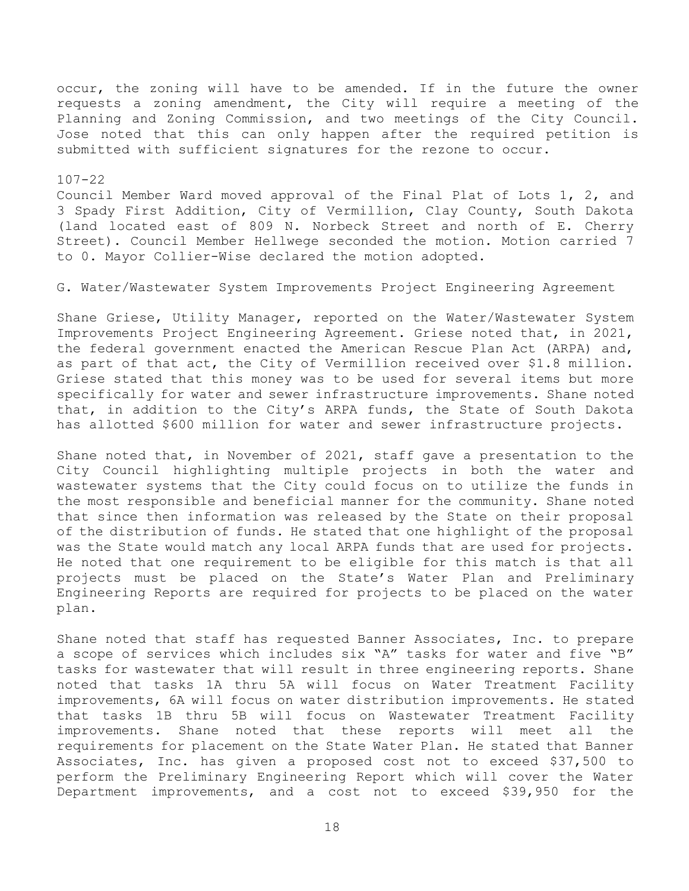occur, the zoning will have to be amended. If in the future the owner requests a zoning amendment, the City will require a meeting of the Planning and Zoning Commission, and two meetings of the City Council. Jose noted that this can only happen after the required petition is submitted with sufficient signatures for the rezone to occur.

# 107-22

Council Member Ward moved approval of the Final Plat of Lots 1, 2, and 3 Spady First Addition, City of Vermillion, Clay County, South Dakota (land located east of 809 N. Norbeck Street and north of E. Cherry Street). Council Member Hellwege seconded the motion. Motion carried 7 to 0. Mayor Collier-Wise declared the motion adopted.

### G. Water/Wastewater System Improvements Project Engineering Agreement

Shane Griese, Utility Manager, reported on the Water/Wastewater System Improvements Project Engineering Agreement. Griese noted that, in 2021, the federal government enacted the American Rescue Plan Act (ARPA) and, as part of that act, the City of Vermillion received over \$1.8 million. Griese stated that this money was to be used for several items but more specifically for water and sewer infrastructure improvements. Shane noted that, in addition to the City's ARPA funds, the State of South Dakota has allotted \$600 million for water and sewer infrastructure projects.

Shane noted that, in November of 2021, staff gave a presentation to the City Council highlighting multiple projects in both the water and wastewater systems that the City could focus on to utilize the funds in the most responsible and beneficial manner for the community. Shane noted that since then information was released by the State on their proposal of the distribution of funds. He stated that one highlight of the proposal was the State would match any local ARPA funds that are used for projects. He noted that one requirement to be eligible for this match is that all projects must be placed on the State's Water Plan and Preliminary Engineering Reports are required for projects to be placed on the water plan.

Shane noted that staff has requested Banner Associates, Inc. to prepare a scope of services which includes six "A" tasks for water and five "B" tasks for wastewater that will result in three engineering reports. Shane noted that tasks 1A thru 5A will focus on Water Treatment Facility improvements, 6A will focus on water distribution improvements. He stated that tasks 1B thru 5B will focus on Wastewater Treatment Facility improvements. Shane noted that these reports will meet all the requirements for placement on the State Water Plan. He stated that Banner Associates, Inc. has given a proposed cost not to exceed \$37,500 to perform the Preliminary Engineering Report which will cover the Water Department improvements, and a cost not to exceed \$39,950 for the

18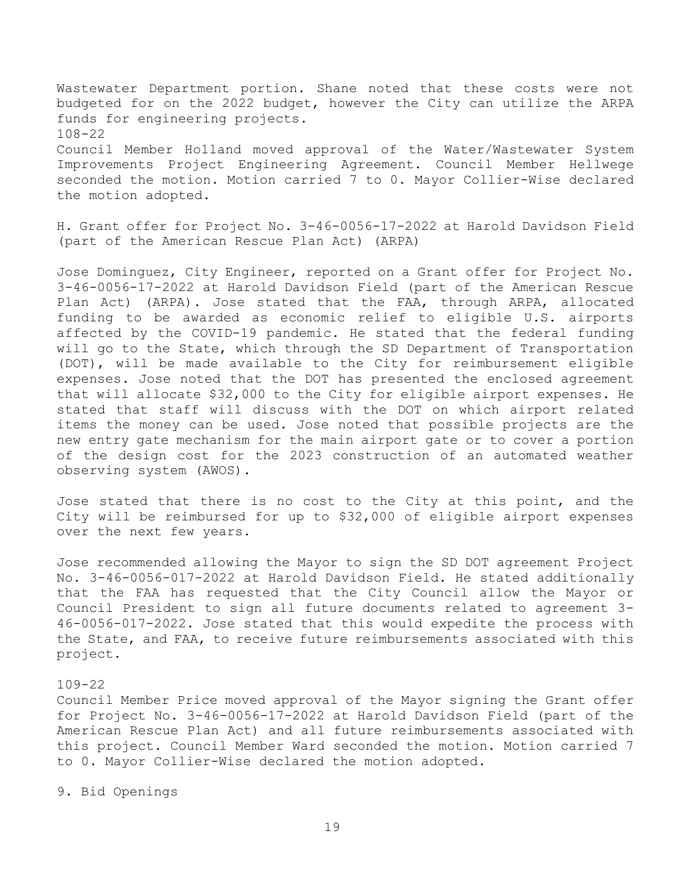Wastewater Department portion. Shane noted that these costs were not budgeted for on the 2022 budget, however the City can utilize the ARPA funds for engineering projects. 108-22 Council Member Holland moved approval of the Water/Wastewater System

Improvements Project Engineering Agreement. Council Member Hellwege seconded the motion. Motion carried 7 to 0. Mayor Collier-Wise declared the motion adopted.

H. Grant offer for Project No. 3-46-0056-17-2022 at Harold Davidson Field (part of the American Rescue Plan Act) (ARPA)

Jose Dominguez, City Engineer, reported on a Grant offer for Project No. 3-46-0056-17-2022 at Harold Davidson Field (part of the American Rescue Plan Act) (ARPA). Jose stated that the FAA, through ARPA, allocated funding to be awarded as economic relief to eligible U.S. airports affected by the COVID-19 pandemic. He stated that the federal funding will go to the State, which through the SD Department of Transportation (DOT), will be made available to the City for reimbursement eligible expenses. Jose noted that the DOT has presented the enclosed agreement that will allocate \$32,000 to the City for eligible airport expenses. He stated that staff will discuss with the DOT on which airport related items the money can be used. Jose noted that possible projects are the new entry gate mechanism for the main airport gate or to cover a portion of the design cost for the 2023 construction of an automated weather observing system (AWOS).

Jose stated that there is no cost to the City at this point, and the City will be reimbursed for up to \$32,000 of eligible airport expenses over the next few years.

Jose recommended allowing the Mayor to sign the SD DOT agreement Project No. 3-46-0056-017-2022 at Harold Davidson Field. He stated additionally that the FAA has requested that the City Council allow the Mayor or Council President to sign all future documents related to agreement 3- 46-0056-017-2022. Jose stated that this would expedite the process with the State, and FAA, to receive future reimbursements associated with this project.

#### 109-22

Council Member Price moved approval of the Mayor signing the Grant offer for Project No. 3-46-0056-17-2022 at Harold Davidson Field (part of the American Rescue Plan Act) and all future reimbursements associated with this project. Council Member Ward seconded the motion. Motion carried 7 to 0. Mayor Collier-Wise declared the motion adopted.

9. Bid Openings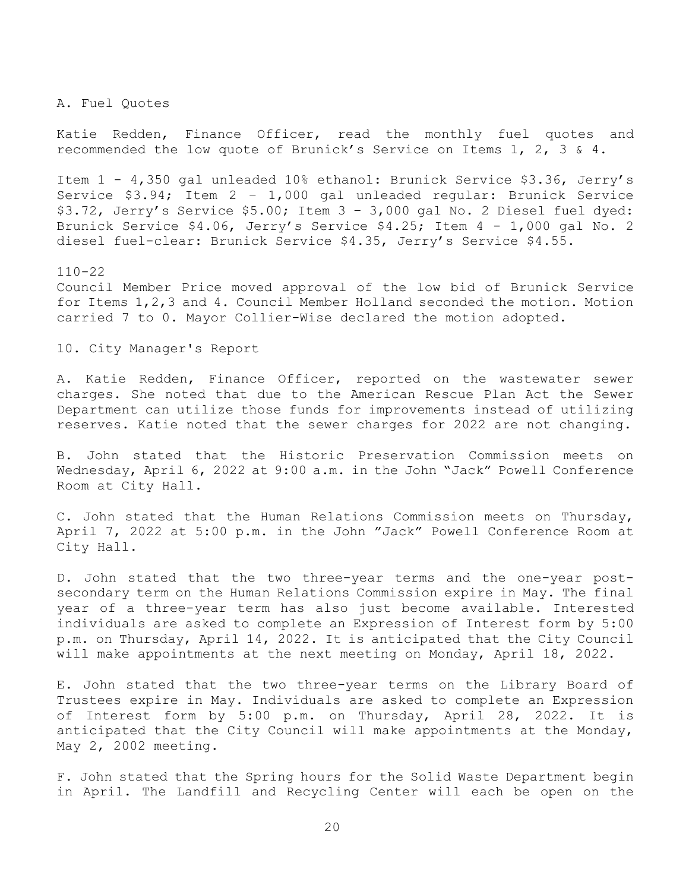A. Fuel Quotes

Katie Redden, Finance Officer, read the monthly fuel quotes and recommended the low quote of Brunick's Service on Items 1, 2, 3 & 4.

Item 1 - 4,350 gal unleaded 10% ethanol: Brunick Service \$3.36, Jerry's Service \$3.94; Item 2 – 1,000 gal unleaded regular: Brunick Service \$3.72, Jerry's Service \$5.00; Item 3 – 3,000 gal No. 2 Diesel fuel dyed: Brunick Service \$4.06, Jerry's Service \$4.25; Item 4 - 1,000 gal No. 2 diesel fuel-clear: Brunick Service \$4.35, Jerry's Service \$4.55.

110-22 Council Member Price moved approval of the low bid of Brunick Service for Items 1,2,3 and 4. Council Member Holland seconded the motion. Motion carried 7 to 0. Mayor Collier-Wise declared the motion adopted.

10. City Manager's Report

A. Katie Redden, Finance Officer, reported on the wastewater sewer charges. She noted that due to the American Rescue Plan Act the Sewer Department can utilize those funds for improvements instead of utilizing reserves. Katie noted that the sewer charges for 2022 are not changing.

B. John stated that the Historic Preservation Commission meets on Wednesday, April 6, 2022 at 9:00 a.m. in the John "Jack" Powell Conference Room at City Hall.

C. John stated that the Human Relations Commission meets on Thursday, April 7, 2022 at 5:00 p.m. in the John "Jack" Powell Conference Room at City Hall.

D. John stated that the two three-year terms and the one-year postsecondary term on the Human Relations Commission expire in May. The final year of a three-year term has also just become available. Interested individuals are asked to complete an Expression of Interest form by 5:00 p.m. on Thursday, April 14, 2022. It is anticipated that the City Council will make appointments at the next meeting on Monday, April 18, 2022.

E. John stated that the two three-year terms on the Library Board of Trustees expire in May. Individuals are asked to complete an Expression of Interest form by 5:00 p.m. on Thursday, April 28, 2022. It is anticipated that the City Council will make appointments at the Monday, May 2, 2002 meeting.

F. John stated that the Spring hours for the Solid Waste Department begin in April. The Landfill and Recycling Center will each be open on the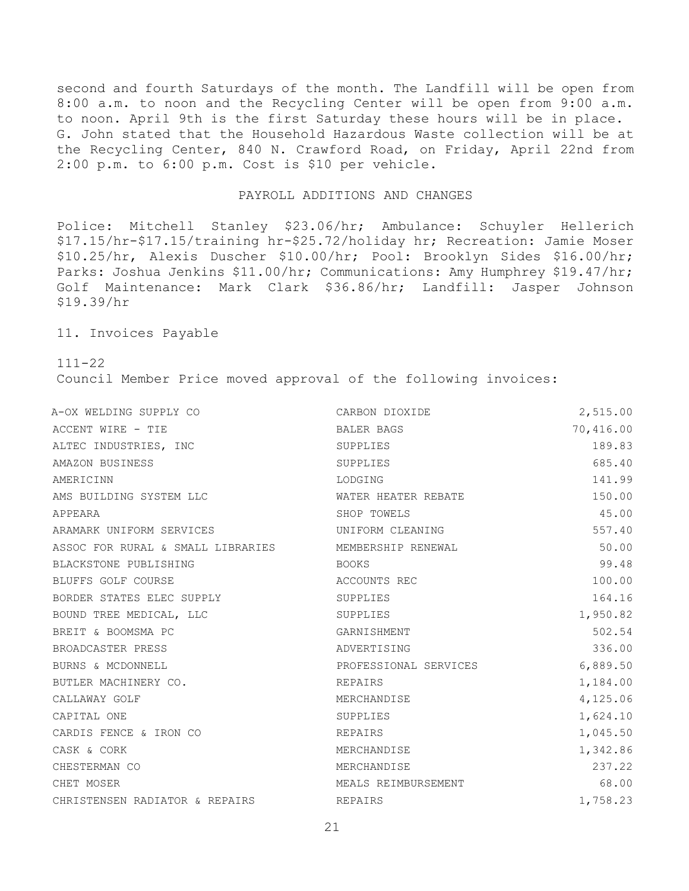second and fourth Saturdays of the month. The Landfill will be open from 8:00 a.m. to noon and the Recycling Center will be open from 9:00 a.m. to noon. April 9th is the first Saturday these hours will be in place. G. John stated that the Household Hazardous Waste collection will be at the Recycling Center, 840 N. Crawford Road, on Friday, April 22nd from 2:00 p.m. to 6:00 p.m. Cost is \$10 per vehicle.

#### PAYROLL ADDITIONS AND CHANGES

Police: Mitchell Stanley \$23.06/hr; Ambulance: Schuyler Hellerich \$17.15/hr-\$17.15/training hr-\$25.72/holiday hr; Recreation: Jamie Moser \$10.25/hr, Alexis Duscher \$10.00/hr; Pool: Brooklyn Sides \$16.00/hr; Parks: Joshua Jenkins \$11.00/hr; Communications: Amy Humphrey \$19.47/hr; Golf Maintenance: Mark Clark \$36.86/hr; Landfill: Jasper Johnson \$19.39/hr

11. Invoices Payable

111-22

Council Member Price moved approval of the following invoices:

| A-OX WELDING SUPPLY CO            | CARBON DIOXIDE        | 2,515.00  |
|-----------------------------------|-----------------------|-----------|
| ACCENT WIRE - TIE                 | BALER BAGS            | 70,416.00 |
| ALTEC INDUSTRIES, INC             | SUPPLIES              | 189.83    |
| AMAZON BUSINESS                   | SUPPLIES              | 685.40    |
| AMERICINN                         | LODGING               | 141.99    |
| AMS BUILDING SYSTEM LLC           | WATER HEATER REBATE   | 150.00    |
| APPEARA                           | SHOP TOWELS           | 45.00     |
| ARAMARK UNIFORM SERVICES          | UNIFORM CLEANING      | 557.40    |
| ASSOC FOR RURAL & SMALL LIBRARIES | MEMBERSHIP RENEWAL    | 50.00     |
| BLACKSTONE PUBLISHING             | <b>BOOKS</b>          | 99.48     |
| BLUFFS GOLF COURSE                | ACCOUNTS REC          | 100.00    |
| BORDER STATES ELEC SUPPLY         | SUPPLIES              | 164.16    |
| BOUND TREE MEDICAL, LLC           | SUPPLIES              | 1,950.82  |
| BREIT & BOOMSMA PC                | GARNISHMENT           | 502.54    |
| BROADCASTER PRESS                 | ADVERTISING           | 336.00    |
| BURNS & MCDONNELL                 | PROFESSIONAL SERVICES | 6,889.50  |
| BUTLER MACHINERY CO.              | REPAIRS               | 1,184.00  |
| CALLAWAY GOLF                     | MERCHANDISE           | 4,125.06  |
| CAPITAL ONE                       | SUPPLIES              | 1,624.10  |
| CARDIS FENCE & IRON CO            | REPAIRS               | 1,045.50  |
| CASK & CORK                       | MERCHANDISE           | 1,342.86  |
| CHESTERMAN CO                     | MERCHANDISE           | 237.22    |
| CHET MOSER                        | MEALS REIMBURSEMENT   | 68.00     |
| CHRISTENSEN RADIATOR & REPAIRS    | REPAIRS               | 1,758.23  |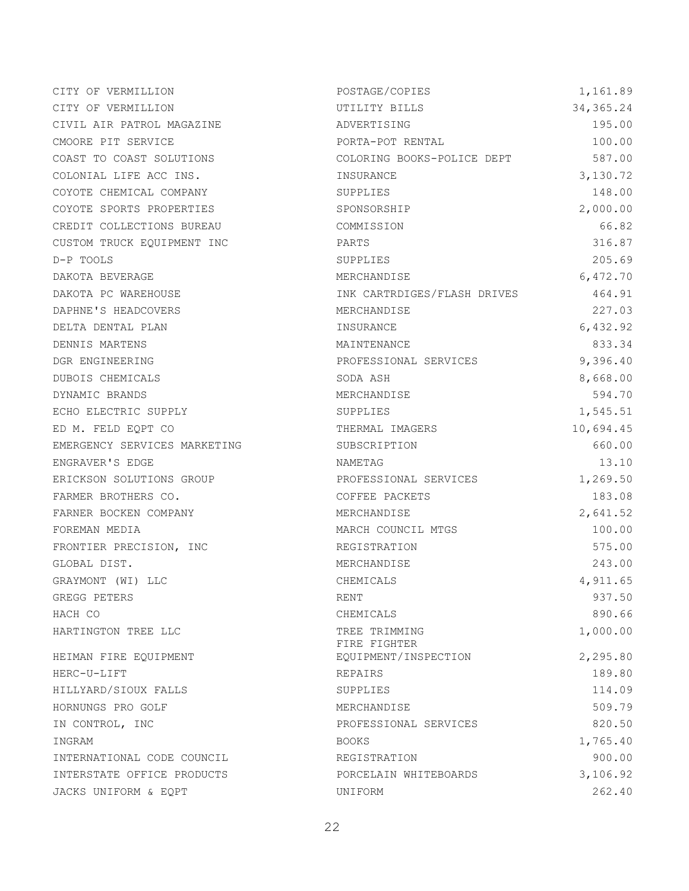| CITY OF VERMILLION           | POSTAGE/COPIES                | 1,161.89   |
|------------------------------|-------------------------------|------------|
| CITY OF VERMILLION           | UTILITY BILLS                 | 34, 365.24 |
| CIVIL AIR PATROL MAGAZINE    | ADVERTISING                   | 195.00     |
| CMOORE PIT SERVICE           | PORTA-POT RENTAL              | 100.00     |
| COAST TO COAST SOLUTIONS     | COLORING BOOKS-POLICE DEPT    | 587.00     |
| COLONIAL LIFE ACC INS.       | INSURANCE                     | 3,130.72   |
| COYOTE CHEMICAL COMPANY      | SUPPLIES                      | 148.00     |
| COYOTE SPORTS PROPERTIES     | SPONSORSHIP                   | 2,000.00   |
| CREDIT COLLECTIONS BUREAU    | COMMISSION                    | 66.82      |
| CUSTOM TRUCK EQUIPMENT INC   | PARTS                         | 316.87     |
| D-P TOOLS                    | SUPPLIES                      | 205.69     |
| DAKOTA BEVERAGE              | MERCHANDISE                   | 6,472.70   |
| DAKOTA PC WAREHOUSE          | INK CARTRDIGES/FLASH DRIVES   | 464.91     |
| DAPHNE'S HEADCOVERS          | MERCHANDISE                   | 227.03     |
| DELTA DENTAL PLAN            | INSURANCE                     | 6,432.92   |
| DENNIS MARTENS               | MAINTENANCE                   | 833.34     |
| DGR ENGINEERING              | PROFESSIONAL SERVICES         | 9,396.40   |
| DUBOIS CHEMICALS             | SODA ASH                      | 8,668.00   |
| DYNAMIC BRANDS               | MERCHANDISE                   | 594.70     |
| ECHO ELECTRIC SUPPLY         | SUPPLIES                      | 1,545.51   |
| ED M. FELD EQPT CO           | THERMAL IMAGERS               | 10,694.45  |
| EMERGENCY SERVICES MARKETING | SUBSCRIPTION                  | 660.00     |
| ENGRAVER'S EDGE              | NAMETAG                       | 13.10      |
| ERICKSON SOLUTIONS GROUP     | PROFESSIONAL SERVICES         | 1,269.50   |
| FARMER BROTHERS CO.          | COFFEE PACKETS                | 183.08     |
| FARNER BOCKEN COMPANY        | MERCHANDISE                   | 2,641.52   |
| FOREMAN MEDIA                | MARCH COUNCIL MTGS            | 100.00     |
| FRONTIER PRECISION, INC      | REGISTRATION                  | 575.00     |
| GLOBAL DIST.                 | MERCHANDISE                   | 243.00     |
| GRAYMONT (WI) LLC            | CHEMICALS                     | 4,911.65   |
| GREGG PETERS                 | RENT                          | 937.50     |
| HACH CO                      | CHEMICALS                     | 890.66     |
| HARTINGTON TREE LLC          | TREE TRIMMING<br>FIRE FIGHTER | 1,000.00   |
| HEIMAN FIRE EQUIPMENT        | EQUIPMENT/INSPECTION          | 2,295.80   |
| HERC-U-LIFT                  | REPAIRS                       | 189.80     |
| HILLYARD/SIOUX FALLS         | SUPPLIES                      | 114.09     |
| HORNUNGS PRO GOLF            | MERCHANDISE                   | 509.79     |
| IN CONTROL, INC              | PROFESSIONAL SERVICES         | 820.50     |
| INGRAM                       | <b>BOOKS</b>                  | 1,765.40   |
| INTERNATIONAL CODE COUNCIL   | REGISTRATION                  | 900.00     |
| INTERSTATE OFFICE PRODUCTS   | PORCELAIN WHITEBOARDS         | 3,106.92   |
| JACKS UNIFORM & EQPT         | UNIFORM                       | 262.40     |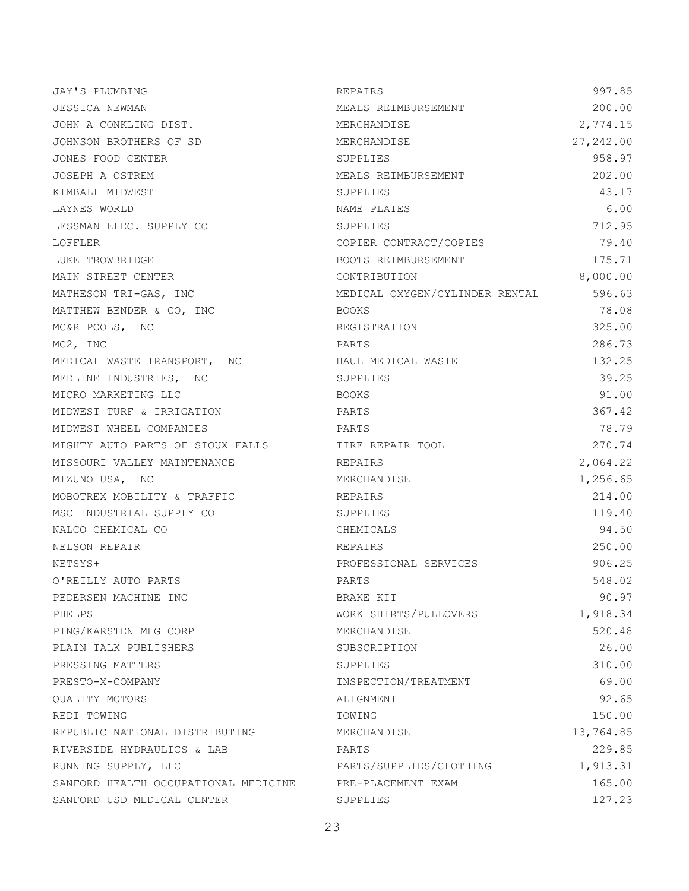| JAY'S PLUMBING                       | REPAIRS                        | 997.85     |
|--------------------------------------|--------------------------------|------------|
| JESSICA NEWMAN                       | MEALS REIMBURSEMENT            | 200.00     |
| JOHN A CONKLING DIST.                | MERCHANDISE                    | 2,774.15   |
| JOHNSON BROTHERS OF SD               | MERCHANDISE                    | 27, 242.00 |
| JONES FOOD CENTER                    | SUPPLIES                       | 958.97     |
| JOSEPH A OSTREM                      | MEALS REIMBURSEMENT            | 202.00     |
| KIMBALL MIDWEST                      | SUPPLIES                       | 43.17      |
| LAYNES WORLD                         | NAME PLATES                    | 6.00       |
| LESSMAN ELEC. SUPPLY CO              | SUPPLIES                       | 712.95     |
| LOFFLER                              | COPIER CONTRACT/COPIES         | 79.40      |
| LUKE TROWBRIDGE                      | BOOTS REIMBURSEMENT            | 175.71     |
| MAIN STREET CENTER                   | CONTRIBUTION                   | 8,000.00   |
| MATHESON TRI-GAS, INC                | MEDICAL OXYGEN/CYLINDER RENTAL | 596.63     |
| MATTHEW BENDER & CO, INC             | <b>BOOKS</b>                   | 78.08      |
| MC&R POOLS, INC                      | REGISTRATION                   | 325.00     |
| MC2, INC                             | PARTS                          | 286.73     |
| MEDICAL WASTE TRANSPORT, INC         | HAUL MEDICAL WASTE             | 132.25     |
| MEDLINE INDUSTRIES, INC              | SUPPLIES                       | 39.25      |
| MICRO MARKETING LLC                  | <b>BOOKS</b>                   | 91.00      |
| MIDWEST TURF & IRRIGATION            | PARTS                          | 367.42     |
| MIDWEST WHEEL COMPANIES              | PARTS                          | 78.79      |
| MIGHTY AUTO PARTS OF SIOUX FALLS     | TIRE REPAIR TOOL               | 270.74     |
| MISSOURI VALLEY MAINTENANCE          | REPAIRS                        | 2,064.22   |
| MIZUNO USA, INC                      | MERCHANDISE                    | 1,256.65   |
| MOBOTREX MOBILITY & TRAFFIC          | REPAIRS                        | 214.00     |
| MSC INDUSTRIAL SUPPLY CO             | SUPPLIES                       | 119.40     |
| NALCO CHEMICAL CO                    | CHEMICALS                      | 94.50      |
| NELSON REPAIR                        | <b>REPAIRS</b>                 | 250.00     |
| NETSYS+                              | PROFESSIONAL SERVICES          | 906.25     |
| O'REILLY AUTO PARTS                  | PARTS                          | 548.02     |
| PEDERSEN MACHINE INC                 | BRAKE KIT                      | 90.97      |
| PHELPS                               | WORK SHIRTS/PULLOVERS          | 1,918.34   |
| PING/KARSTEN MFG CORP                | MERCHANDISE                    | 520.48     |
| PLAIN TALK PUBLISHERS                | SUBSCRIPTION                   | 26.00      |
| PRESSING MATTERS                     | SUPPLIES                       | 310.00     |
| PRESTO-X-COMPANY                     | INSPECTION/TREATMENT           | 69.00      |
| OUALITY MOTORS                       | ALIGNMENT                      | 92.65      |
| REDI TOWING                          | TOWING                         | 150.00     |
| REPUBLIC NATIONAL DISTRIBUTING       | MERCHANDISE                    | 13,764.85  |
| RIVERSIDE HYDRAULICS & LAB           | PARTS                          | 229.85     |
| RUNNING SUPPLY, LLC                  | PARTS/SUPPLIES/CLOTHING        | 1,913.31   |
| SANFORD HEALTH OCCUPATIONAL MEDICINE | PRE-PLACEMENT EXAM             | 165.00     |
| SANFORD USD MEDICAL CENTER           | SUPPLIES                       | 127.23     |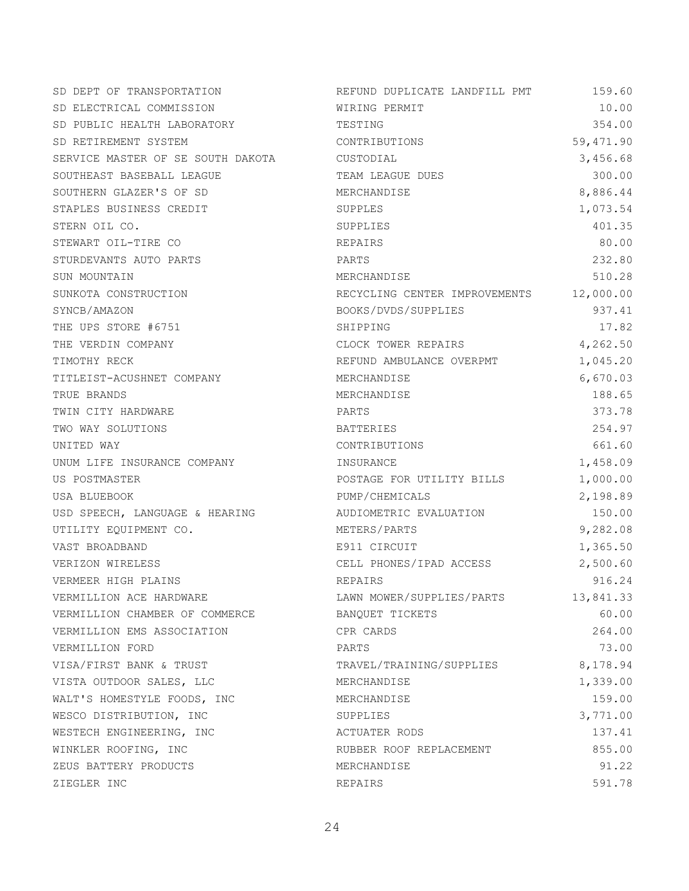| SD DEPT OF TRANSPORTATION         | REFUND DUPLICATE LANDFILL PMT | 159.60    |
|-----------------------------------|-------------------------------|-----------|
| SD ELECTRICAL COMMISSION          | WIRING PERMIT                 | 10.00     |
| SD PUBLIC HEALTH LABORATORY       | TESTING                       | 354.00    |
| SD RETIREMENT SYSTEM              | CONTRIBUTIONS                 | 59,471.90 |
| SERVICE MASTER OF SE SOUTH DAKOTA | CUSTODIAL                     | 3,456.68  |
| SOUTHEAST BASEBALL LEAGUE         | TEAM LEAGUE DUES              | 300.00    |
| SOUTHERN GLAZER'S OF SD           | MERCHANDISE                   | 8,886.44  |
| STAPLES BUSINESS CREDIT           | SUPPLES                       | 1,073.54  |
| STERN OIL CO.                     | SUPPLIES                      | 401.35    |
| STEWART OIL-TIRE CO               | REPAIRS                       | 80.00     |
| STURDEVANTS AUTO PARTS            | PARTS                         | 232.80    |
| SUN MOUNTAIN                      | MERCHANDISE                   | 510.28    |
| SUNKOTA CONSTRUCTION              | RECYCLING CENTER IMPROVEMENTS | 12,000.00 |
| SYNCB/AMAZON                      | BOOKS/DVDS/SUPPLIES           | 937.41    |
| THE UPS STORE #6751               | SHIPPING                      | 17.82     |
| THE VERDIN COMPANY                | CLOCK TOWER REPAIRS           | 4,262.50  |
| TIMOTHY RECK                      | REFUND AMBULANCE OVERPMT      | 1,045.20  |
| TITLEIST-ACUSHNET COMPANY         | MERCHANDISE                   | 6,670.03  |
| TRUE BRANDS                       | MERCHANDISE                   | 188.65    |
| TWIN CITY HARDWARE                | PARTS                         | 373.78    |
| TWO WAY SOLUTIONS                 | BATTERIES                     | 254.97    |
| UNITED WAY                        | CONTRIBUTIONS                 | 661.60    |
| UNUM LIFE INSURANCE COMPANY       | INSURANCE                     | 1,458.09  |
| US POSTMASTER                     | POSTAGE FOR UTILITY BILLS     | 1,000.00  |
| USA BLUEBOOK                      | PUMP/CHEMICALS                | 2,198.89  |
| USD SPEECH, LANGUAGE & HEARING    | AUDIOMETRIC EVALUATION        | 150.00    |
| UTILITY EQUIPMENT CO.             | METERS/PARTS                  | 9,282.08  |
| VAST BROADBAND                    | E911 CIRCUIT                  | 1,365.50  |
| VERIZON WIRELESS                  | CELL PHONES/IPAD ACCESS       | 2,500.60  |
| VERMEER HIGH PLAINS               | REPAIRS                       | 916.24    |
| VERMILLION ACE HARDWARE           | LAWN MOWER/SUPPLIES/PARTS     | 13,841.33 |
| VERMILLION CHAMBER OF COMMERCE    | BANQUET TICKETS               | 60.00     |
| VERMILLION EMS ASSOCIATION        | CPR CARDS                     | 264.00    |
| VERMILLION FORD                   | PARTS                         | 73.00     |
| VISA/FIRST BANK & TRUST           | TRAVEL/TRAINING/SUPPLIES      | 8,178.94  |
| VISTA OUTDOOR SALES, LLC          | MERCHANDISE                   | 1,339.00  |
| WALT'S HOMESTYLE FOODS, INC       | MERCHANDISE                   | 159.00    |
| WESCO DISTRIBUTION, INC           | SUPPLIES                      | 3,771.00  |
| WESTECH ENGINEERING, INC          | ACTUATER RODS                 | 137.41    |
| WINKLER ROOFING, INC              | RUBBER ROOF REPLACEMENT       | 855.00    |
| ZEUS BATTERY PRODUCTS             | MERCHANDISE                   | 91.22     |
| ZIEGLER INC                       | REPAIRS                       | 591.78    |